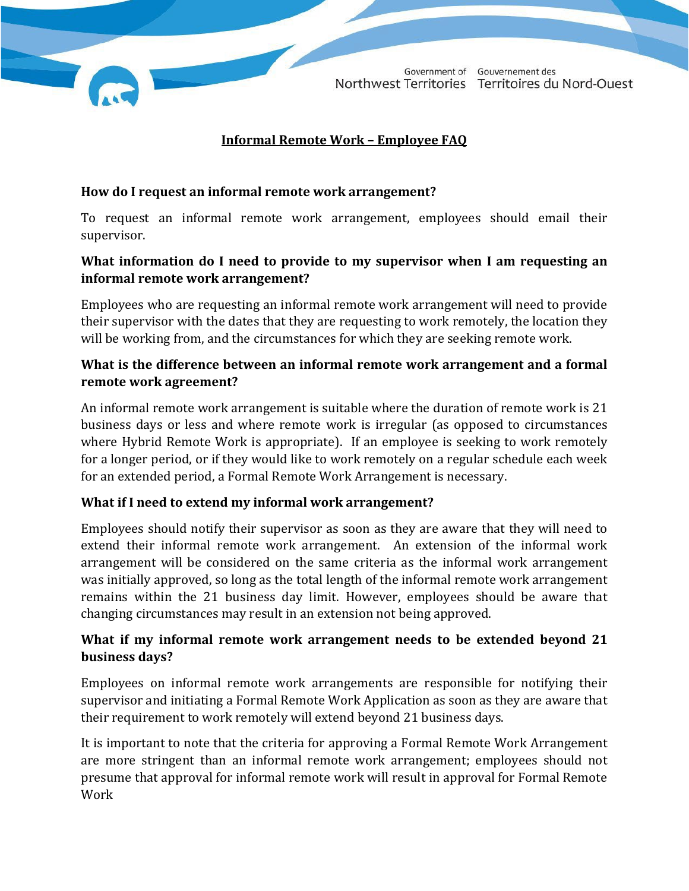Government of Gouvernement des Northwest Territories Territoires du Nord-Ouest

#### **Informal Remote Work – Employee FAQ**

#### **How do I request an informal remote work arrangement?**

To request an informal remote work arrangement, employees should email their supervisor.

# **What information do I need to provide to my supervisor when I am requesting an informal remote work arrangement?**

Employees who are requesting an informal remote work arrangement will need to provide their supervisor with the dates that they are requesting to work remotely, the location they will be working from, and the circumstances for which they are seeking remote work.

### **What is the difference between an informal remote work arrangement and a formal remote work agreement?**

An informal remote work arrangement is suitable where the duration of remote work is 21 business days or less and where remote work is irregular (as opposed to circumstances where Hybrid Remote Work is appropriate). If an employee is seeking to work remotely for a longer period, or if they would like to work remotely on a regular schedule each week for an extended period, a Formal Remote Work Arrangement is necessary.

#### **What if I need to extend my informal work arrangement?**

Employees should notify their supervisor as soon as they are aware that they will need to extend their informal remote work arrangement. An extension of the informal work arrangement will be considered on the same criteria as the informal work arrangement was initially approved, so long as the total length of the informal remote work arrangement remains within the 21 business day limit. However, employees should be aware that changing circumstances may result in an extension not being approved.

# **What if my informal remote work arrangement needs to be extended beyond 21 business days?**

Employees on informal remote work arrangements are responsible for notifying their supervisor and initiating a Formal Remote Work Application as soon as they are aware that their requirement to work remotely will extend beyond 21 business days.

It is important to note that the criteria for approving a Formal Remote Work Arrangement are more stringent than an informal remote work arrangement; employees should not presume that approval for informal remote work will result in approval for Formal Remote Work